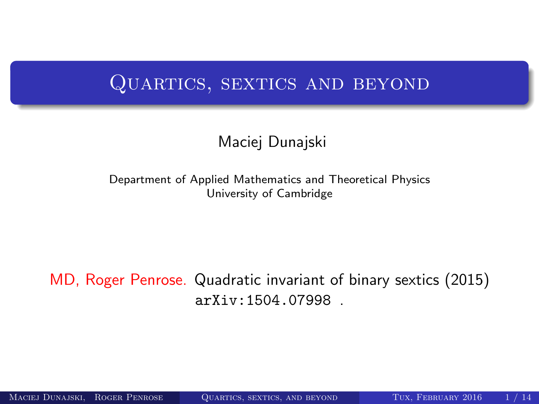### QUARTICS, SEXTICS AND BEYOND

#### <span id="page-0-0"></span>Maciej Dunajski

Department of Applied Mathematics and Theoretical Physics University of Cambridge

#### MD, Roger Penrose. Quadratic invariant of binary sextics (2015) arXiv:1504.07998 .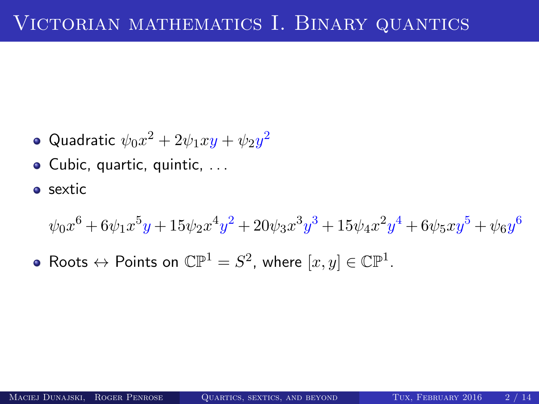- Quadratic  $\psi_0 x^2 + 2 \psi_1 xy + \psi_2 y^2$
- Cubic, quartic, quintic, ...
- **o** sextic

 $\psi_0 x^6 + 6\psi_1 x^5 y + 15\psi_2 x^4 y^2 + 20\psi_3 x^3 y^3 + 15\psi_4 x^2 y^4 + 6\psi_5 x y^5 + \psi_6 y^6$ 

Roots  $\leftrightarrow$  Points on  $\mathbb{CP}^1=S^2$ , where  $[x,y]\in \mathbb{CP}^1.$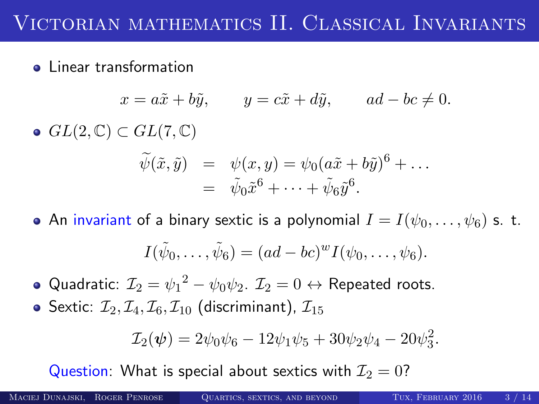**•** Linear transformation

$$
x = a\tilde{x} + b\tilde{y}, \qquad y = c\tilde{x} + d\tilde{y}, \qquad ad - bc \neq 0.
$$
  
\n• 
$$
GL(2, \mathbb{C}) \subset GL(7, \mathbb{C})
$$
  
\n
$$
\tilde{\psi}(\tilde{x}, \tilde{y}) = \psi(x, y) = \psi_0(a\tilde{x} + b\tilde{y})^6 + \dots
$$
  
\n
$$
= \tilde{\psi}_0 \tilde{x}^6 + \dots + \tilde{\psi}_6 \tilde{y}^6.
$$

• An invariant of a binary sextic is a polynomial  $I = I(\psi_0, \dots, \psi_6)$  s. t.

$$
I(\tilde{\psi}_0,\ldots,\tilde{\psi}_6)=(ad-bc)^{w}I(\psi_0,\ldots,\psi_6).
$$

Quadratic:  ${\cal I}_2 = {\psi_1}^2 - \psi_0 \psi_2$ .  ${\cal I}_2 = 0 \leftrightarrow$  Repeated roots.

• Sextic:  $\mathcal{I}_2, \mathcal{I}_4, \mathcal{I}_6, \mathcal{I}_{10}$  (discriminant),  $\mathcal{I}_{15}$ 

$$
\mathcal{I}_2(\psi) = 2\psi_0\psi_6 - 12\psi_1\psi_5 + 30\psi_2\psi_4 - 20\psi_3^2.
$$

Question: What is special about sextics with  $\mathcal{I}_2 = 0$ ?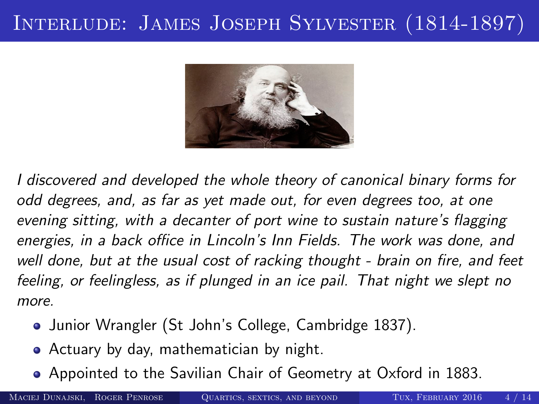# Interlude: James Joseph Sylvester (1814-1897)



I discovered and developed the whole theory of canonical binary forms for odd degrees, and, as far as yet made out, for even degrees too, at one evening sitting, with a decanter of port wine to sustain nature's flagging energies, in a back office in Lincoln's Inn Fields. The work was done, and well done, but at the usual cost of racking thought - brain on fire, and feet feeling, or feelingless, as if plunged in an ice pail. That night we slept no more.

- Junior Wrangler (St John's College, Cambridge 1837).
- Actuary by day, mathematician by night.
- Appointed to the Savilian Chair of Geometry at Oxford in 1883.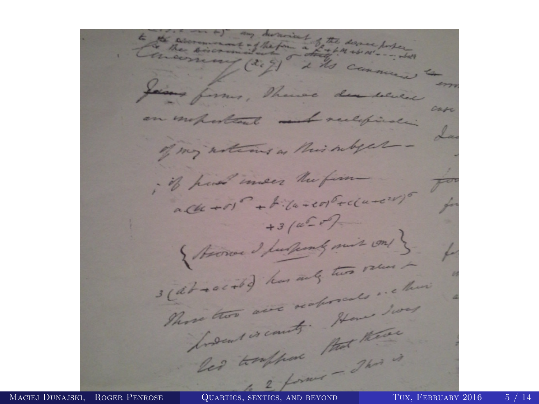to the accommodation of the desire poster (20) it's commence to Jaimes formes, There are where case an insportant melification of my articus as this subject -. if had men the firm  $ACu + r1 - + F$  $+3/4-77$ { Heroe I furthernly mit on! } stat society has any two round scat social has my in the aire not some los low to count that there Maciej Dunajski, Roger Penrose [Quartics, sextics, and beyond](#page-0-0) Tux, February 2016 5 / 14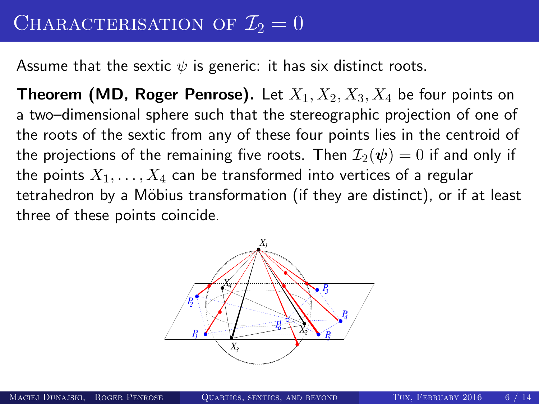Assume that the sextic  $\psi$  is generic: it has six distinct roots.

**Theorem (MD, Roger Penrose).** Let  $X_1, X_2, X_3, X_4$  be four points on a two–dimensional sphere such that the stereographic projection of one of the roots of the sextic from any of these four points lies in the centroid of the projections of the remaining five roots. Then  $\mathcal{I}_2(\psi) = 0$  if and only if the points  $X_1, \ldots, X_4$  can be transformed into vertices of a regular tetrahedron by a Möbius transformation (if they are distinct), or if at least three of these points coincide.

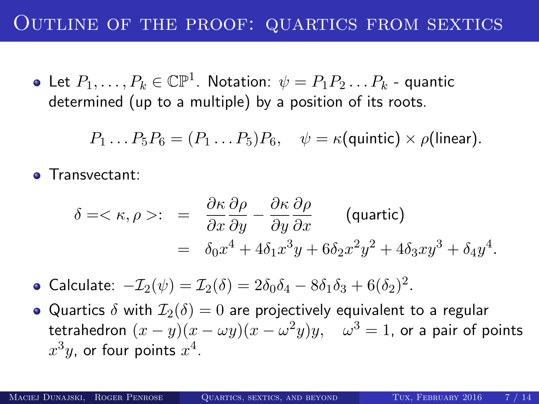### Outline of the proof: quartics from sextics

Let  $P_1,\ldots,P_k\in\mathbb{CP}^1.$  Notation:  $\psi=P_1P_2\ldots P_k$  - quantic determined (up to a multiple) by a position of its roots.

$$
P_1 \dots P_5 P_6 = (P_1 \dots P_5) P_6, \quad \psi = \kappa(\text{quintic}) \times \rho(\text{linear}).
$$

**o** Transvectant:

$$
\delta = \langle \kappa, \rho \rangle: = \frac{\partial \kappa}{\partial x} \frac{\partial \rho}{\partial y} - \frac{\partial \kappa}{\partial y} \frac{\partial \rho}{\partial x} \qquad \text{(quartic)}
$$
  
= 
$$
\delta_0 x^4 + 4\delta_1 x^3 y + 6\delta_2 x^2 y^2 + 4\delta_3 x y^3 + \delta_4 y^4.
$$

Calculate:  $-\mathcal{I}_2(\psi) = \mathcal{I}_2(\delta) = 2\delta_0\delta_4 - 8\delta_1\delta_3 + 6(\delta_2)^2$ .

• Quartics  $\delta$  with  $\mathcal{I}_2(\delta) = 0$  are projectively equivalent to a regular tetrahedron  $(x-y)(x-\omega y)(x-\omega^2 y)y, \quad \omega^3=1$ , or a pair of points  $x^3y$ , or four points  $x^4$ .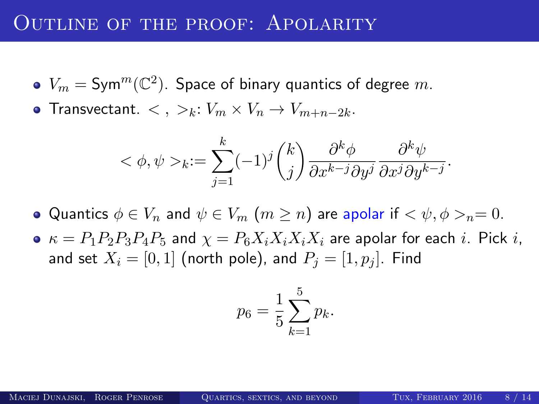#### OUTLINE OF THE PROOF: APOLARITY

- $V_m = \mathsf{Sym}^m(\mathbb{C}^2).$  Space of binary quantics of degree  $m.$
- Transvectant.  $\langle , \rangle_k: V_m \times V_n \to V_{m+n-2k}$ .

$$
\langle \phi, \psi \rangle_k := \sum_{j=1}^k (-1)^j {k \choose j} \frac{\partial^k \phi}{\partial x^{k-j} \partial y^j} \frac{\partial^k \psi}{\partial x^j \partial y^{k-j}}.
$$

• Quantics  $\phi \in V_n$  and  $\psi \in V_m$   $(m \geq n)$  are apolar if  $\langle \psi, \phi \rangle_n = 0$ .

 $\bullet \kappa = P_1 P_2 P_3 P_4 P_5$  and  $\chi = P_6 X_i X_i X_i X_i$  are apolar for each i. Pick i, and set  $X_i = [0, 1]$  (north pole), and  $P_i = [1, p_i]$ . Find

$$
p_6 = \frac{1}{5} \sum_{k=1}^{5} p_k.
$$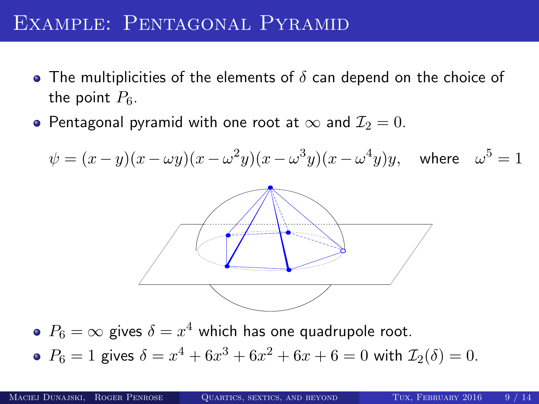### EXAMPLE: PENTAGONAL PYRAMID

- The multiplicities of the elements of  $\delta$  can depend on the choice of the point  $P_6$ .
- Pentagonal pyramid with one root at  $\infty$  and  $\mathcal{I}_2 = 0$ .

$$
\psi = (x - y)(x - \omega y)(x - \omega^2 y)(x - \omega^3 y)(x - \omega^4 y)y, \text{ where } \omega^5 = 1
$$
\n\n•  $P_6 = \infty$  gives  $\delta = x^4$  which has one quadrupole root.

\n•  $P_6 = 1$  gives  $\delta = x^4 + 6x^3 + 6x^2 + 6x + 6 = 0$  with  $\mathcal{I}_2(\delta) = 0$ .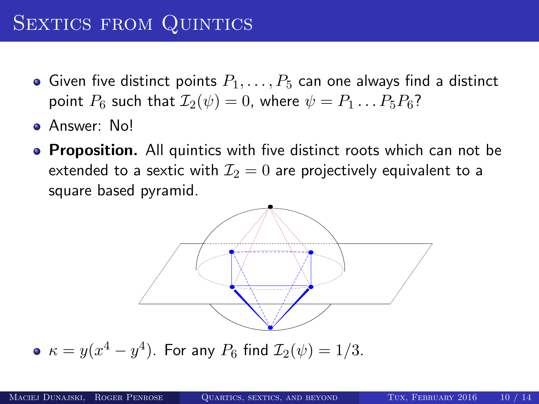## SEXTICS FROM QUINTICS

- Given five distinct points  $P_1, \ldots, P_5$  can one always find a distinct point  $P_6$  such that  $\mathcal{I}_2(\psi) = 0$ , where  $\psi = P_1 \dots P_5 P_6$ ?
- Answer: No!
- **Proposition.** All quintics with five distinct roots which can not be extended to a sextic with  $\mathcal{I}_2 = 0$  are projectively equivalent to a square based pyramid.



 $\kappa = y(x^4-y^4).$  For any  $P_6$  find  $\mathcal{I}_2(\psi) = 1/3.$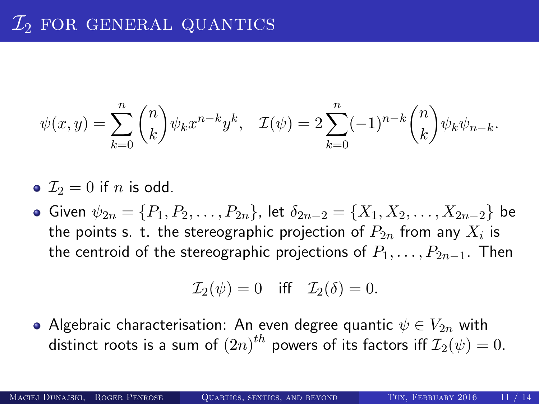$$
\psi(x,y) = \sum_{k=0}^{n} {n \choose k} \psi_k x^{n-k} y^k, \quad \mathcal{I}(\psi) = 2 \sum_{k=0}^{n} (-1)^{n-k} {n \choose k} \psi_k \psi_{n-k}.
$$

• 
$$
\mathcal{I}_2 = 0
$$
 if *n* is odd.

 $\bullet$  Given  $\psi_{2n} = \{P_1, P_2, \ldots, P_{2n}\}\)$ , let  $\delta_{2n-2} = \{X_1, X_2, \ldots, X_{2n-2}\}\)$ the points s. t. the stereographic projection of  $P_{2n}$  from any  $X_i$  is the centroid of the stereographic projections of  $P_1, \ldots, P_{2n-1}$ . Then

$$
\mathcal{I}_2(\psi) = 0 \quad \text{iff} \quad \mathcal{I}_2(\delta) = 0.
$$

• Algebraic characterisation: An even degree quantic  $\psi \in V_{2n}$  with distinct roots is a sum of  $\left( 2n\right) ^{th}$  powers of its factors iff  $\mathcal{I}_{2}(\psi)=0.$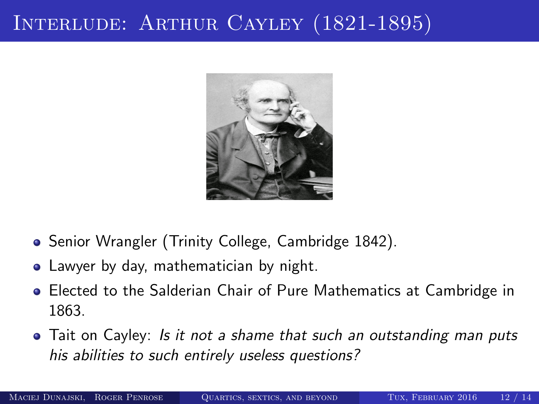# INTERLUDE: ARTHUR CAYLEY (1821-1895)



- Senior Wrangler (Trinity College, Cambridge 1842).
- Lawyer by day, mathematician by night.
- Elected to the Salderian Chair of Pure Mathematics at Cambridge in 1863.
- Tait on Cayley: Is it not a shame that such an outstanding man puts his abilities to such entirely useless questions?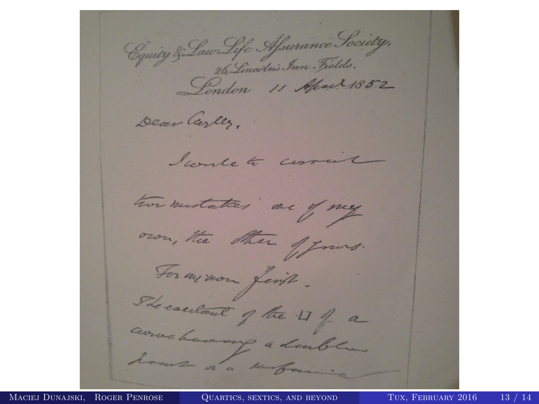Equity & Law Life Afrance Society,<br>26, Lincotni, Inn Fields,<br>Lenden 11 Mai 1852 Dear Cerles. I would to correct two mestates are of my own, the other of Jours. For my non first. She cardont of the 11 of a correctioning a double. hours of a surface.

MACIEJ DUNAJSKI, ROGER PENROSE QUARTICS, SEXTICS, AND BEYOND TUX, FEBRUARY 2016 13 / 14